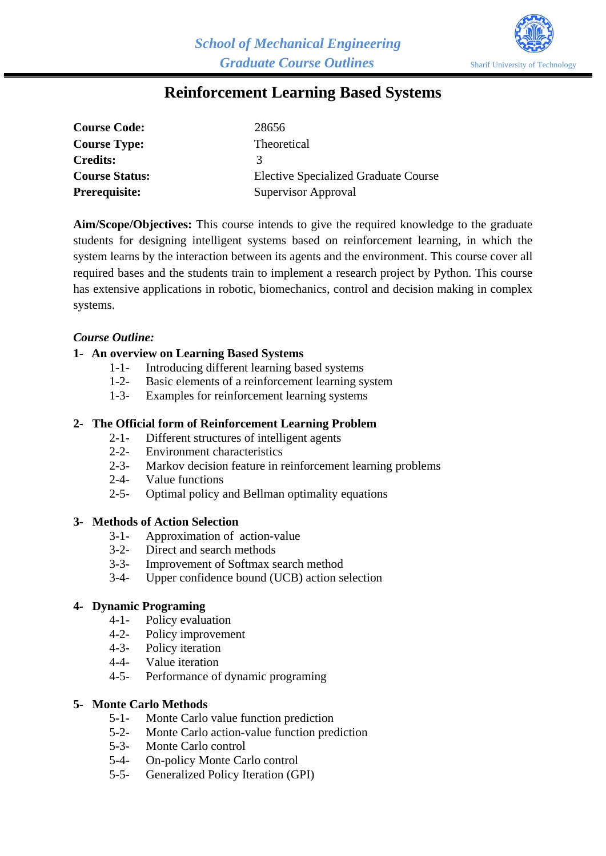

# **Reinforcement Learning Based Systems**

| <b>Course Code:</b>   | 28656                                       |
|-----------------------|---------------------------------------------|
| <b>Course Type:</b>   | <b>Theoretical</b>                          |
| <b>Credits:</b>       | 3                                           |
| <b>Course Status:</b> | <b>Elective Specialized Graduate Course</b> |
| <b>Prerequisite:</b>  | Supervisor Approval                         |

**Aim/Scope/Objectives:** This course intends to give the required knowledge to the graduate students for designing intelligent systems based on reinforcement learning, in which the system learns by the interaction between its agents and the environment. This course cover all required bases and the students train to implement a research project by Python. This course has extensive applications in robotic, biomechanics, control and decision making in complex systems.

# *Course Outline:*

#### **1- An overview on Learning Based Systems**

- 1-1- Introducing different learning based systems
- 1-2- Basic elements of a reinforcement learning system
- 1-3- Examples for reinforcement learning systems

#### **2- The Official form of Reinforcement Learning Problem**

- 2-1- Different structures of intelligent agents
- 2-2- Environment characteristics
- 2-3- Markov decision feature in reinforcement learning problems
- 2-4- Value functions
- 2-5- Optimal policy and Bellman optimality equations

#### **3- Methods of Action Selection**

- 3-1- Approximation of action-value
- 3-2- Direct and search methods
- 3-3- Improvement of Softmax search method
- 3-4- Upper confidence bound (UCB) action selection

# **4- Dynamic Programing**

- 
- 4-1- Policy evaluation<br>4-2- Policy improvement Policy improvement
- 4-3- Policy iteration
- 4-4- Value iteration
- 4-5- Performance of dynamic programing

#### **5- Monte Carlo Methods**

- 5-1- Monte Carlo value function prediction
- 5-2- Monte Carlo action-value function prediction
- 5-3- Monte Carlo control
- 5-4- On-policy Monte Carlo control
- 5-5- Generalized Policy Iteration (GPI)